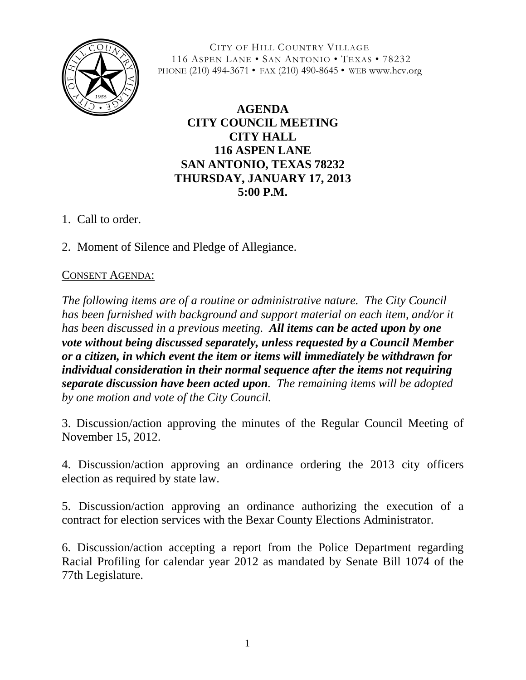

CITY OF HILL COUNTRY VILLAGE 116 ASPEN LANE • SAN ANTONIO • TEXAS • 78232 PHONE (210) 494-3671 • FAX (210) 490-8645 • WEB www.hcv.org

## **AGENDA CITY COUNCIL MEETING CITY HALL 116 ASPEN LANE SAN ANTONIO, TEXAS 78232 THURSDAY, JANUARY 17, 2013 5:00 P.M.**

- 1. Call to order.
- 2. Moment of Silence and Pledge of Allegiance.

## CONSENT AGENDA:

*The following items are of a routine or administrative nature. The City Council has been furnished with background and support material on each item, and/or it has been discussed in a previous meeting. All items can be acted upon by one vote without being discussed separately, unless requested by a Council Member or a citizen, in which event the item or items will immediately be withdrawn for individual consideration in their normal sequence after the items not requiring separate discussion have been acted upon. The remaining items will be adopted by one motion and vote of the City Council.*

3. Discussion/action approving the minutes of the Regular Council Meeting of November 15, 2012.

4. Discussion/action approving an ordinance ordering the 2013 city officers election as required by state law.

5. Discussion/action approving an ordinance authorizing the execution of a contract for election services with the Bexar County Elections Administrator.

6. Discussion/action accepting a report from the Police Department regarding Racial Profiling for calendar year 2012 as mandated by Senate Bill 1074 of the 77th Legislature.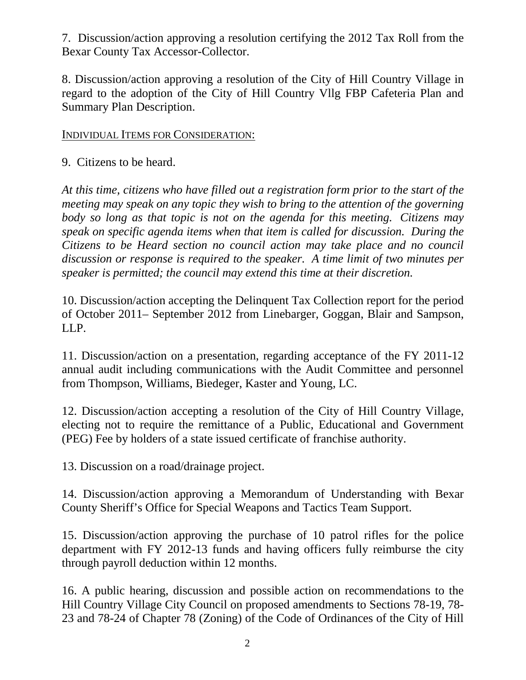7. Discussion/action approving a resolution certifying the 2012 Tax Roll from the Bexar County Tax Accessor-Collector.

8. Discussion/action approving a resolution of the City of Hill Country Village in regard to the adoption of the City of Hill Country Vllg FBP Cafeteria Plan and Summary Plan Description.

## INDIVIDUAL ITEMS FOR CONSIDERATION:

9. Citizens to be heard.

*At this time, citizens who have filled out a registration form prior to the start of the meeting may speak on any topic they wish to bring to the attention of the governing body so long as that topic is not on the agenda for this meeting. Citizens may speak on specific agenda items when that item is called for discussion. During the Citizens to be Heard section no council action may take place and no council discussion or response is required to the speaker. A time limit of two minutes per speaker is permitted; the council may extend this time at their discretion.*

10. Discussion/action accepting the Delinquent Tax Collection report for the period of October 2011– September 2012 from Linebarger, Goggan, Blair and Sampson, LLP.

11. Discussion/action on a presentation, regarding acceptance of the FY 2011-12 annual audit including communications with the Audit Committee and personnel from Thompson, Williams, Biedeger, Kaster and Young, LC.

12. Discussion/action accepting a resolution of the City of Hill Country Village, electing not to require the remittance of a Public, Educational and Government (PEG) Fee by holders of a state issued certificate of franchise authority.

13. Discussion on a road/drainage project.

14. Discussion/action approving a Memorandum of Understanding with Bexar County Sheriff's Office for Special Weapons and Tactics Team Support.

15. Discussion/action approving the purchase of 10 patrol rifles for the police department with FY 2012-13 funds and having officers fully reimburse the city through payroll deduction within 12 months.

16. A public hearing, discussion and possible action on recommendations to the Hill Country Village City Council on proposed amendments to Sections 78-19, 78- 23 and 78-24 of Chapter 78 (Zoning) of the Code of Ordinances of the City of Hill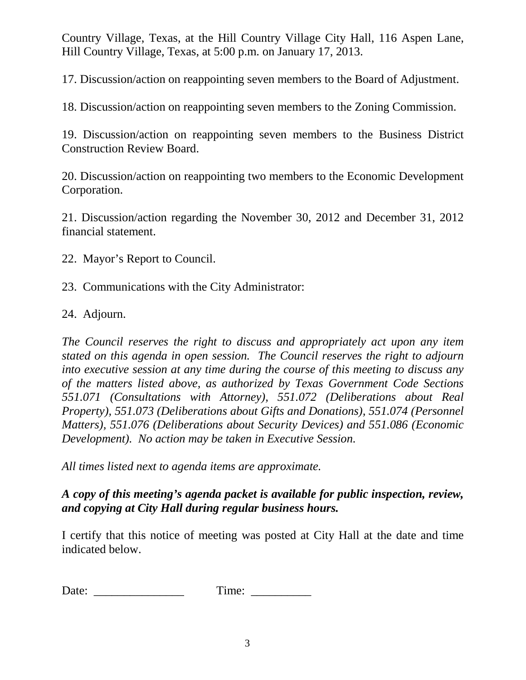Country Village, Texas, at the Hill Country Village City Hall, 116 Aspen Lane, Hill Country Village, Texas, at 5:00 p.m. on January 17, 2013.

17. Discussion/action on reappointing seven members to the Board of Adjustment.

18. Discussion/action on reappointing seven members to the Zoning Commission.

19. Discussion/action on reappointing seven members to the Business District Construction Review Board.

20. Discussion/action on reappointing two members to the Economic Development Corporation.

21. Discussion/action regarding the November 30, 2012 and December 31, 2012 financial statement.

- 22. Mayor's Report to Council.
- 23. Communications with the City Administrator:
- 24. Adjourn.

*The Council reserves the right to discuss and appropriately act upon any item stated on this agenda in open session. The Council reserves the right to adjourn into executive session at any time during the course of this meeting to discuss any of the matters listed above, as authorized by Texas Government Code Sections 551.071 (Consultations with Attorney), 551.072 (Deliberations about Real Property), 551.073 (Deliberations about Gifts and Donations), 551.074 (Personnel Matters), 551.076 (Deliberations about Security Devices) and 551.086 (Economic Development). No action may be taken in Executive Session.*

*All times listed next to agenda items are approximate.*

*A copy of this meeting's agenda packet is available for public inspection, review, and copying at City Hall during regular business hours.*

I certify that this notice of meeting was posted at City Hall at the date and time indicated below.